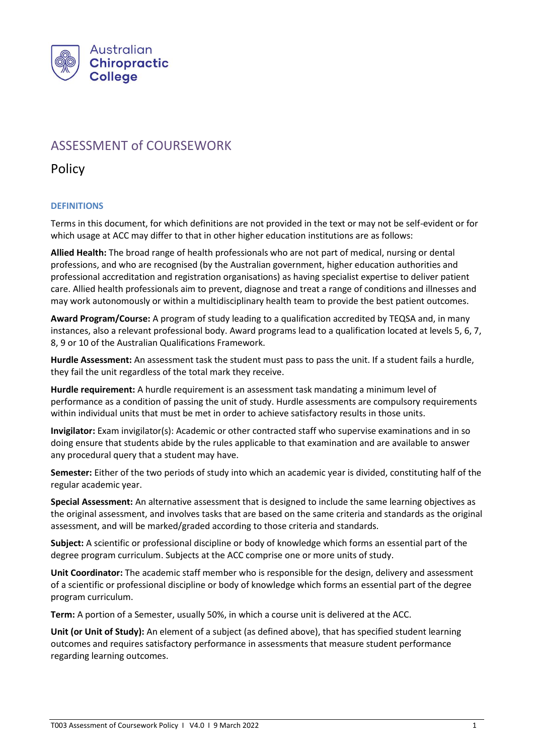

# ASSESSMENT of COURSEWORK

Policy

# **DEFINITIONS**

Terms in this document, for which definitions are not provided in the text or may not be self-evident or for which usage at ACC may differ to that in other higher education institutions are as follows:

**Allied Health:** The broad range of health professionals who are not part of medical, nursing or dental professions, and who are recognised (by the Australian government, higher education authorities and professional accreditation and registration organisations) as having specialist expertise to deliver patient care. Allied health professionals aim to prevent, diagnose and treat a range of conditions and illnesses and may work autonomously or within a multidisciplinary health team to provide the best patient outcomes.

**Award Program/Course:** A program of study leading to a qualification accredited by TEQSA and, in many instances, also a relevant professional body. Award programs lead to a qualification located at levels 5, 6, 7, 8, 9 or 10 of the Australian Qualifications Framework.

**Hurdle Assessment:** An assessment task the student must pass to pass the unit. If a student fails a hurdle, they fail the unit regardless of the total mark they receive.

**Hurdle requirement:** A hurdle requirement is an assessment task mandating a minimum level of performance as a condition of passing the unit of study. Hurdle assessments are compulsory requirements within individual units that must be met in order to achieve satisfactory results in those units.

**Invigilator:** Exam invigilator(s): Academic or other contracted staff who supervise examinations and in so doing ensure that students abide by the rules applicable to that examination and are available to answer any procedural query that a student may have.

**Semester:** Either of the two periods of study into which an academic year is divided, constituting half of the regular academic year.

**Special Assessment:** An alternative assessment that is designed to include the same learning objectives as the original assessment, and involves tasks that are based on the same criteria and standards as the original assessment, and will be marked/graded according to those criteria and standards.

**Subject:** A scientific or professional discipline or body of knowledge which forms an essential part of the degree program curriculum. Subjects at the ACC comprise one or more units of study.

**Unit Coordinator:** The academic staff member who is responsible for the design, delivery and assessment of a scientific or professional discipline or body of knowledge which forms an essential part of the degree program curriculum.

**Term:** A portion of a Semester, usually 50%, in which a course unit is delivered at the ACC.

**Unit (or Unit of Study):** An element of a subject (as defined above), that has specified student learning outcomes and requires satisfactory performance in assessments that measure student performance regarding learning outcomes.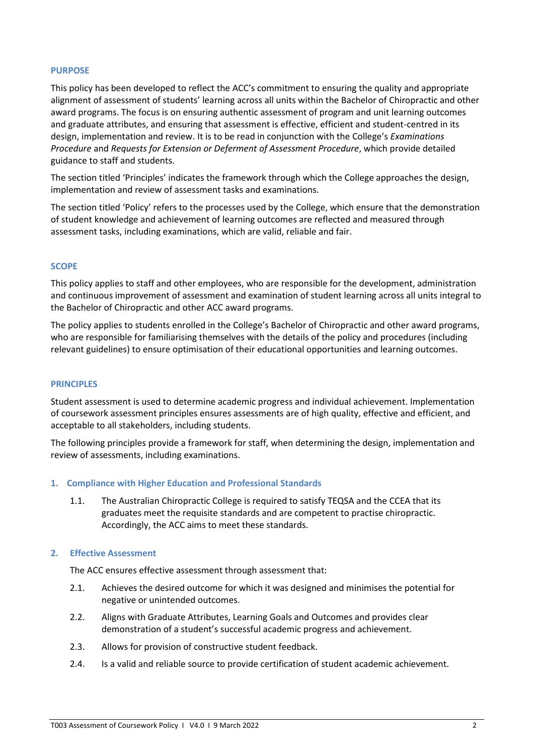#### **PURPOSE**

This policy has been developed to reflect the ACC's commitment to ensuring the quality and appropriate alignment of assessment of students' learning across all units within the Bachelor of Chiropractic and other award programs. The focus is on ensuring authentic assessment of program and unit learning outcomes and graduate attributes, and ensuring that assessment is effective, efficient and student-centred in its design, implementation and review. It is to be read in conjunction with the College's *Examinations Procedure* and *Requests for Extension or Deferment of Assessment Procedure*, which provide detailed guidance to staff and students.

The section titled 'Principles' indicates the framework through which the College approaches the design, implementation and review of assessment tasks and examinations.

The section titled 'Policy' refers to the processes used by the College, which ensure that the demonstration of student knowledge and achievement of learning outcomes are reflected and measured through assessment tasks, including examinations, which are valid, reliable and fair.

#### **SCOPE**

This policy applies to staff and other employees, who are responsible for the development, administration and continuous improvement of assessment and examination of student learning across all units integral to the Bachelor of Chiropractic and other ACC award programs.

The policy applies to students enrolled in the College's Bachelor of Chiropractic and other award programs, who are responsible for familiarising themselves with the details of the policy and procedures (including relevant guidelines) to ensure optimisation of their educational opportunities and learning outcomes.

#### **PRINCIPLES**

Student assessment is used to determine academic progress and individual achievement. Implementation of coursework assessment principles ensures assessments are of high quality, effective and efficient, and acceptable to all stakeholders, including students.

The following principles provide a framework for staff, when determining the design, implementation and review of assessments, including examinations.

#### **1. Compliance with Higher Education and Professional Standards**

1.1. The Australian Chiropractic College is required to satisfy TEQSA and the CCEA that its graduates meet the requisite standards and are competent to practise chiropractic. Accordingly, the ACC aims to meet these standards.

#### **2. Effective Assessment**

The ACC ensures effective assessment through assessment that:

- 2.1. Achieves the desired outcome for which it was designed and minimises the potential for negative or unintended outcomes.
- 2.2. Aligns with Graduate Attributes, Learning Goals and Outcomes and provides clear demonstration of a student's successful academic progress and achievement.
- 2.3. Allows for provision of constructive student feedback.
- 2.4. Is a valid and reliable source to provide certification of student academic achievement.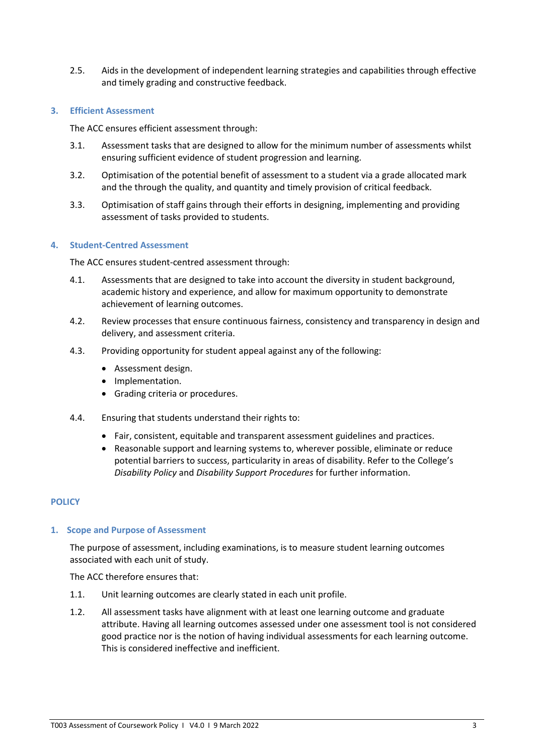2.5. Aids in the development of independent learning strategies and capabilities through effective and timely grading and constructive feedback.

## **3. Efficient Assessment**

The ACC ensures efficient assessment through:

- 3.1. Assessment tasks that are designed to allow for the minimum number of assessments whilst ensuring sufficient evidence of student progression and learning.
- 3.2. Optimisation of the potential benefit of assessment to a student via a grade allocated mark and the through the quality, and quantity and timely provision of critical feedback.
- 3.3. Optimisation of staff gains through their efforts in designing, implementing and providing assessment of tasks provided to students.

## **4. Student-Centred Assessment**

The ACC ensures student-centred assessment through:

- 4.1. Assessments that are designed to take into account the diversity in student background, academic history and experience, and allow for maximum opportunity to demonstrate achievement of learning outcomes.
- 4.2. Review processes that ensure continuous fairness, consistency and transparency in design and delivery, and assessment criteria.
- 4.3. Providing opportunity for student appeal against any of the following:
	- Assessment design.
	- Implementation.
	- Grading criteria or procedures.
- 4.4. Ensuring that students understand their rights to:
	- Fair, consistent, equitable and transparent assessment guidelines and practices.
	- Reasonable support and learning systems to, wherever possible, eliminate or reduce potential barriers to success, particularity in areas of disability. Refer to the College's *Disability Policy* and *Disability Support Procedures* for further information.

# **POLICY**

## **1. Scope and Purpose of Assessment**

The purpose of assessment, including examinations, is to measure student learning outcomes associated with each unit of study.

The ACC therefore ensures that:

- 1.1. Unit learning outcomes are clearly stated in each unit profile.
- 1.2. All assessment tasks have alignment with at least one learning outcome and graduate attribute. Having all learning outcomes assessed under one assessment tool is not considered good practice nor is the notion of having individual assessments for each learning outcome. This is considered ineffective and inefficient.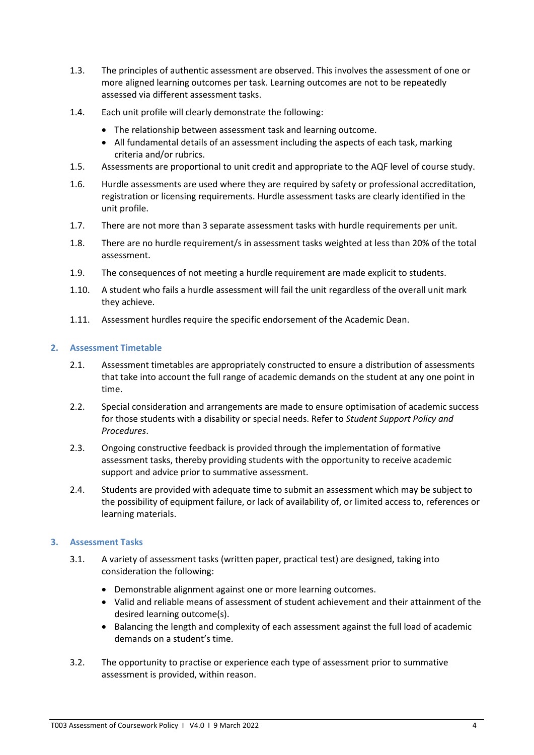- 1.3. The principles of authentic assessment are observed. This involves the assessment of one or more aligned learning outcomes per task. Learning outcomes are not to be repeatedly assessed via different assessment tasks.
- 1.4. Each unit profile will clearly demonstrate the following:
	- The relationship between assessment task and learning outcome.
	- All fundamental details of an assessment including the aspects of each task, marking criteria and/or rubrics.
- 1.5. Assessments are proportional to unit credit and appropriate to the AQF level of course study.
- 1.6. Hurdle assessments are used where they are required by safety or professional accreditation, registration or licensing requirements. Hurdle assessment tasks are clearly identified in the unit profile.
- 1.7. There are not more than 3 separate assessment tasks with hurdle requirements per unit.
- 1.8. There are no hurdle requirement/s in assessment tasks weighted at less than 20% of the total assessment.
- 1.9. The consequences of not meeting a hurdle requirement are made explicit to students.
- 1.10. A student who fails a hurdle assessment will fail the unit regardless of the overall unit mark they achieve.
- 1.11. Assessment hurdles require the specific endorsement of the Academic Dean.

## **2. Assessment Timetable**

- 2.1. Assessment timetables are appropriately constructed to ensure a distribution of assessments that take into account the full range of academic demands on the student at any one point in time.
- 2.2. Special consideration and arrangements are made to ensure optimisation of academic success for those students with a disability or special needs. Refer to *Student Support Policy and Procedures*.
- 2.3. Ongoing constructive feedback is provided through the implementation of formative assessment tasks, thereby providing students with the opportunity to receive academic support and advice prior to summative assessment.
- 2.4. Students are provided with adequate time to submit an assessment which may be subject to the possibility of equipment failure, or lack of availability of, or limited access to, references or learning materials.

# **3. Assessment Tasks**

- 3.1. A variety of assessment tasks (written paper, practical test) are designed, taking into consideration the following:
	- Demonstrable alignment against one or more learning outcomes.
	- Valid and reliable means of assessment of student achievement and their attainment of the desired learning outcome(s).
	- Balancing the length and complexity of each assessment against the full load of academic demands on a student's time.
- 3.2. The opportunity to practise or experience each type of assessment prior to summative assessment is provided, within reason.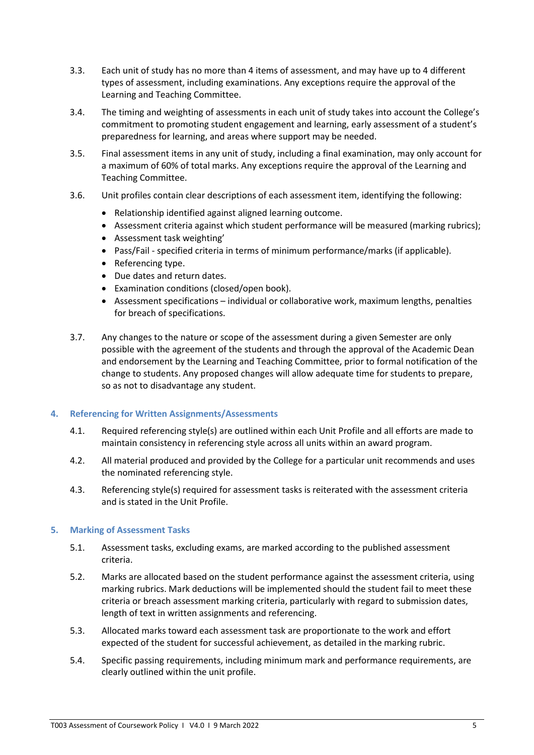- 3.3. Each unit of study has no more than 4 items of assessment, and may have up to 4 different types of assessment, including examinations. Any exceptions require the approval of the Learning and Teaching Committee.
- 3.4. The timing and weighting of assessments in each unit of study takes into account the College's commitment to promoting student engagement and learning, early assessment of a student's preparedness for learning, and areas where support may be needed.
- 3.5. Final assessment items in any unit of study, including a final examination, may only account for a maximum of 60% of total marks. Any exceptions require the approval of the Learning and Teaching Committee.
- 3.6. Unit profiles contain clear descriptions of each assessment item, identifying the following:
	- Relationship identified against aligned learning outcome.
	- Assessment criteria against which student performance will be measured (marking rubrics);
	- Assessment task weighting'
	- Pass/Fail specified criteria in terms of minimum performance/marks (if applicable).
	- Referencing type.
	- Due dates and return dates.
	- Examination conditions (closed/open book).
	- Assessment specifications individual or collaborative work, maximum lengths, penalties for breach of specifications.
- 3.7. Any changes to the nature or scope of the assessment during a given Semester are only possible with the agreement of the students and through the approval of the Academic Dean and endorsement by the Learning and Teaching Committee, prior to formal notification of the change to students. Any proposed changes will allow adequate time for students to prepare, so as not to disadvantage any student.

## **4. Referencing for Written Assignments/Assessments**

- 4.1. Required referencing style(s) are outlined within each Unit Profile and all efforts are made to maintain consistency in referencing style across all units within an award program.
- 4.2. All material produced and provided by the College for a particular unit recommends and uses the nominated referencing style.
- 4.3. Referencing style(s) required for assessment tasks is reiterated with the assessment criteria and is stated in the Unit Profile.

## **5. Marking of Assessment Tasks**

- 5.1. Assessment tasks, excluding exams, are marked according to the published assessment criteria.
- 5.2. Marks are allocated based on the student performance against the assessment criteria, using marking rubrics. Mark deductions will be implemented should the student fail to meet these criteria or breach assessment marking criteria, particularly with regard to submission dates, length of text in written assignments and referencing.
- 5.3. Allocated marks toward each assessment task are proportionate to the work and effort expected of the student for successful achievement, as detailed in the marking rubric.
- 5.4. Specific passing requirements, including minimum mark and performance requirements, are clearly outlined within the unit profile.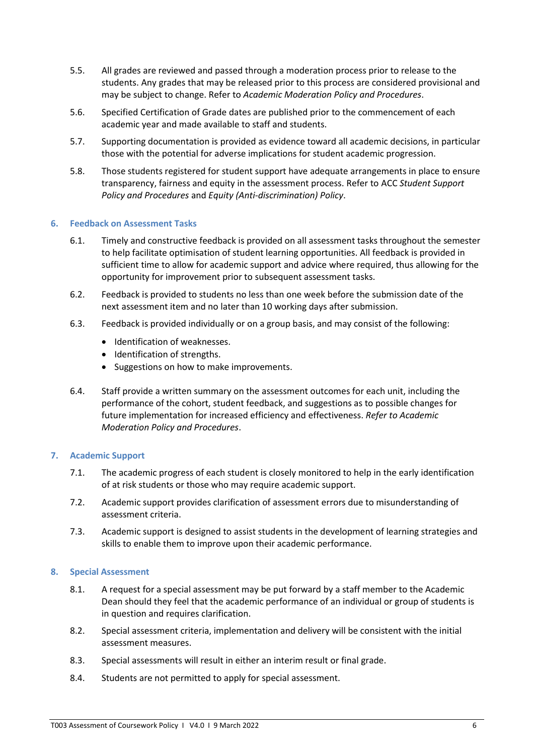- 5.5. All grades are reviewed and passed through a moderation process prior to release to the students. Any grades that may be released prior to this process are considered provisional and may be subject to change. Refer to *Academic Moderation Policy and Procedures*.
- 5.6. Specified Certification of Grade dates are published prior to the commencement of each academic year and made available to staff and students.
- 5.7. Supporting documentation is provided as evidence toward all academic decisions, in particular those with the potential for adverse implications for student academic progression.
- 5.8. Those students registered for student support have adequate arrangements in place to ensure transparency, fairness and equity in the assessment process. Refer to ACC *Student Support Policy and Procedures* and *Equity (Anti-discrimination) Policy*.

## **6. Feedback on Assessment Tasks**

- 6.1. Timely and constructive feedback is provided on all assessment tasks throughout the semester to help facilitate optimisation of student learning opportunities. All feedback is provided in sufficient time to allow for academic support and advice where required, thus allowing for the opportunity for improvement prior to subsequent assessment tasks.
- 6.2. Feedback is provided to students no less than one week before the submission date of the next assessment item and no later than 10 working days after submission.
- 6.3. Feedback is provided individually or on a group basis, and may consist of the following:
	- Identification of weaknesses.
	- Identification of strengths.
	- Suggestions on how to make improvements.
- 6.4. Staff provide a written summary on the assessment outcomes for each unit, including the performance of the cohort, student feedback, and suggestions as to possible changes for future implementation for increased efficiency and effectiveness. *Refer to Academic Moderation Policy and Procedures*.

## **7. Academic Support**

- 7.1. The academic progress of each student is closely monitored to help in the early identification of at risk students or those who may require academic support.
- 7.2. Academic support provides clarification of assessment errors due to misunderstanding of assessment criteria.
- 7.3. Academic support is designed to assist students in the development of learning strategies and skills to enable them to improve upon their academic performance.

## **8. Special Assessment**

- 8.1. A request for a special assessment may be put forward by a staff member to the Academic Dean should they feel that the academic performance of an individual or group of students is in question and requires clarification.
- 8.2. Special assessment criteria, implementation and delivery will be consistent with the initial assessment measures.
- 8.3. Special assessments will result in either an interim result or final grade.
- 8.4. Students are not permitted to apply for special assessment.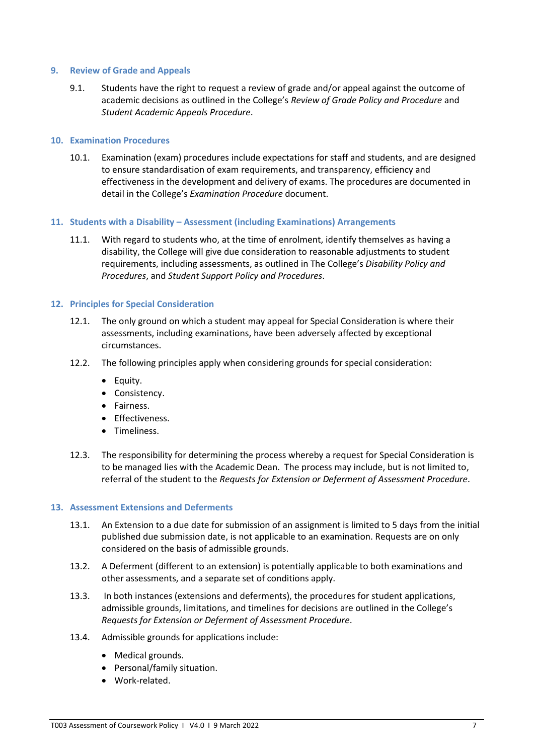#### **9. Review of Grade and Appeals**

9.1. Students have the right to request a review of grade and/or appeal against the outcome of academic decisions as outlined in the College's *Review of Grade Policy and Procedure* and *Student Academic Appeals Procedure*.

#### **10. Examination Procedures**

10.1. Examination (exam) procedures include expectations for staff and students, and are designed to ensure standardisation of exam requirements, and transparency, efficiency and effectiveness in the development and delivery of exams. The procedures are documented in detail in the College's *Examination Procedure* document.

#### **11. Students with a Disability – Assessment (including Examinations) Arrangements**

11.1. With regard to students who, at the time of enrolment, identify themselves as having a disability, the College will give due consideration to reasonable adjustments to student requirements, including assessments, as outlined in The College's *Disability Policy and Procedures*, and *Student Support Policy and Procedures*.

#### **12. Principles for Special Consideration**

- 12.1. The only ground on which a student may appeal for Special Consideration is where their assessments, including examinations, have been adversely affected by exceptional circumstances.
- 12.2. The following principles apply when considering grounds for special consideration:
	- Equity.
	- Consistency.
	- Fairness.
	- Effectiveness.
	- Timeliness.
- 12.3. The responsibility for determining the process whereby a request for Special Consideration is to be managed lies with the Academic Dean. The process may include, but is not limited to, referral of the student to the *Requests for Extension or Deferment of Assessment Procedure*.

#### **13. Assessment Extensions and Deferments**

- 13.1. An Extension to a due date for submission of an assignment is limited to 5 days from the initial published due submission date, is not applicable to an examination. Requests are on only considered on the basis of admissible grounds.
- 13.2. A Deferment (different to an extension) is potentially applicable to both examinations and other assessments, and a separate set of conditions apply.
- 13.3. In both instances (extensions and deferments), the procedures for student applications, admissible grounds, limitations, and timelines for decisions are outlined in the College's *Requests for Extension or Deferment of Assessment Procedure*.
- 13.4. Admissible grounds for applications include:
	- Medical grounds.
	- Personal/family situation.
	- Work-related.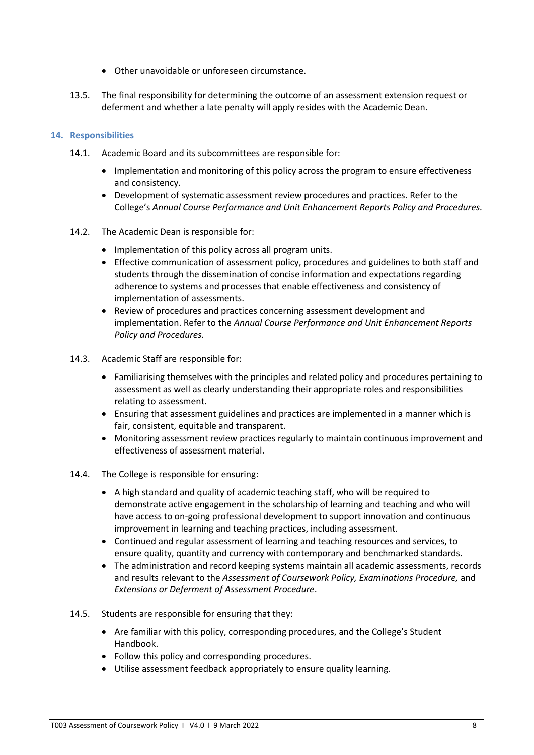- Other unavoidable or unforeseen circumstance.
- 13.5. The final responsibility for determining the outcome of an assessment extension request or deferment and whether a late penalty will apply resides with the Academic Dean.

## **14. Responsibilities**

- 14.1. Academic Board and its subcommittees are responsible for:
	- Implementation and monitoring of this policy across the program to ensure effectiveness and consistency.
	- Development of systematic assessment review procedures and practices. Refer to the College's *Annual Course Performance and Unit Enhancement Reports Policy and Procedures.*
- 14.2. The Academic Dean is responsible for:
	- Implementation of this policy across all program units.
	- Effective communication of assessment policy, procedures and guidelines to both staff and students through the dissemination of concise information and expectations regarding adherence to systems and processes that enable effectiveness and consistency of implementation of assessments.
	- Review of procedures and practices concerning assessment development and implementation. Refer to the *Annual Course Performance and Unit Enhancement Reports Policy and Procedures.*
- 14.3. Academic Staff are responsible for:
	- Familiarising themselves with the principles and related policy and procedures pertaining to assessment as well as clearly understanding their appropriate roles and responsibilities relating to assessment.
	- Ensuring that assessment guidelines and practices are implemented in a manner which is fair, consistent, equitable and transparent.
	- Monitoring assessment review practices regularly to maintain continuous improvement and effectiveness of assessment material.
- 14.4. The College is responsible for ensuring:
	- A high standard and quality of academic teaching staff, who will be required to demonstrate active engagement in the scholarship of learning and teaching and who will have access to on-going professional development to support innovation and continuous improvement in learning and teaching practices, including assessment.
	- Continued and regular assessment of learning and teaching resources and services, to ensure quality, quantity and currency with contemporary and benchmarked standards.
	- The administration and record keeping systems maintain all academic assessments, records and results relevant to the *Assessment of Coursework Policy, Examinations Procedure,* and *Extensions or Deferment of Assessment Procedure*.
- 14.5. Students are responsible for ensuring that they:
	- Are familiar with this policy, corresponding procedures, and the College's Student Handbook.
	- Follow this policy and corresponding procedures.
	- Utilise assessment feedback appropriately to ensure quality learning.